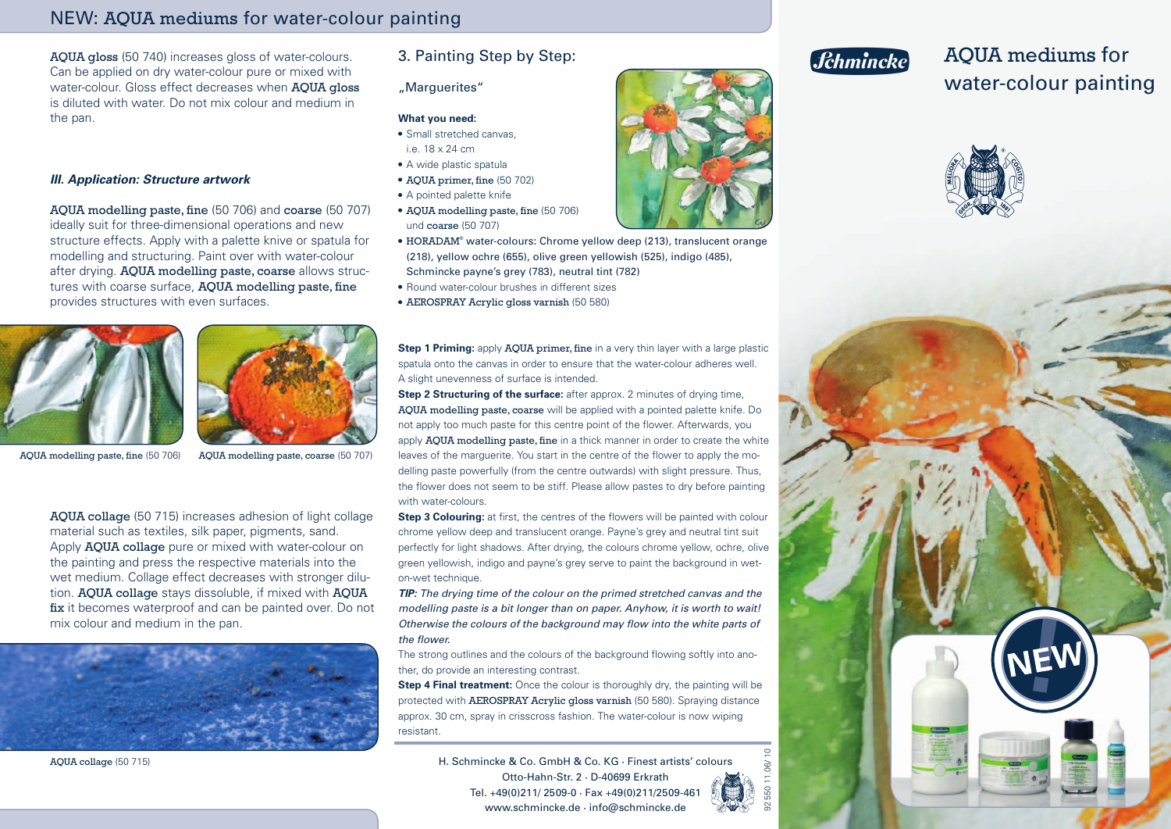## NEW: AQUA mediums for water-colour painting

AQUA gloss (50 740) increases gloss of water-colours. Can be applied on dry water-colour pure or mixed with water-colour. Gloss effect decreases when AQUA gloss is diluted with water. Do not mix colour and medium in the pan.

### **III. Application: Structure artwork**

AQUA modelling paste, fine (50 706) and coarse (50 707) ideally suit for three-dimensional operations and new structure effects. Apply with a palette knive or spatula for modelling and structuring. Paint over with water-colour after drying. AQUA modelling paste, coarse allows structures with coarse surface, **AQUA** modelling paste, fine provides structures with even surfaces.





AQUA modelling paste, fine (50 706)

AQUA modelling paste, coarse (50 707)

AQUA collage (50 715) increases adhesion of light collage material such as textiles, silk paper, pigments, sand. Apply **AQUA collage** pure or mixed with water-colour on the painting and press the respective materials into the wet medium. Collage effect decreases with stronger dilution. AQUA collage stays dissoluble, if mixed with AQUA fix it becomes waterproof and can be painted over. Do not mix colour and medium in the pan.



AQUA collage (50 715)

## 3. Painting Step by Step:

### "Marguerites"

#### **What you need:**

- Small stretched canvas,
- i.e. 18 x 24 cm
- A wide plastic spatula
- AQUA primer, fine (50 702)
- A pointed palette knife
- AOUA modelling paste, fine (50 706) und coarse (50 707)
- HORADAM® water-colours: Chrome yellow deep (213), translucent orange (218), yellow ochre (655), olive green yellowish (525), indigo (485), Schmincke payne's grey (783), neutral tint (782)
- Round water-colour brushes in different sizes
- AEROSPRAY Acrylic gloss varnish (50 580)

**Step 1 Priming:** apply **AOUA primer, fine** in a very thin layer with a large plastic spatula onto the canvas in order to ensure that the water-colour adheres well. A slight unevenness of surface is intended.

**Step 2 Structuring of the surface:** after approx. 2 minutes of drying time, AQUA modelling paste, coarse will be applied with a pointed palette knife. Do not apply too much paste for this centre point of the flower. Afterwards, you apply **AQUA** modelling paste, fine in a thick manner in order to create the white leaves of the marguerite. You start in the centre of the flower to apply the modelling paste powerfully (from the centre outwards) with slight pressure. Thus, the flower does not seem to be stiff. Please allow pastes to dry before painting with water-colours.

**Step 3 Colouring:** at first, the centres of the flowers will be painted with colour chrome yellow deep and translucent orange. Payne's grey and neutral tint suit perfectly for light shadows. After drying, the colours chrome yellow, ochre, olive green yellowish, indigo and payne's grey serve to paint the background in weton-wet technique.

**TIP:** The drying time of the colour on the primed stretched canvas and the modelling paste is a bit longer than on paper. Anyhow, it is worth to wait! Otherwise the colours of the background may flow into the white parts of the flower.

The strong outlines and the colours of the background flowing softly into another, do provide an interesting contrast.

**Step 4 Final treatment:** Once the colour is thoroughly dry, the painting will be protected with AEROSPRAY Acrylic gloss varnish (50 580). Spraying distance approx. 30 cm, spray in crisscross fashion. The water-colour is now wiping resistant.

H. Schmincke & Co. GmbH & Co. KG · Finest artists' colours Otto-Hahn-Str. 2 · D-40699 Erkrath Tel. +49(0)211/ 2509-0 · Fax +49(0)211/2509-461 www.schmincke.de · info@schmincke.de



# *<u>Jchmincke</u>*

# AQUA mediums for water-colour painting